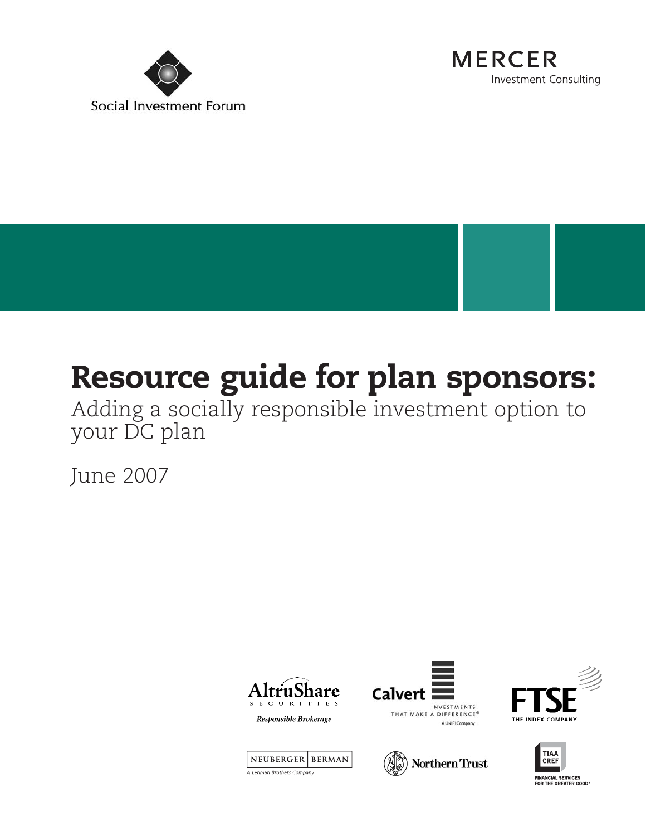



# **Resource guide for plan sponsors:**

Adding a socially responsible investment option to your DC plan

June 2007













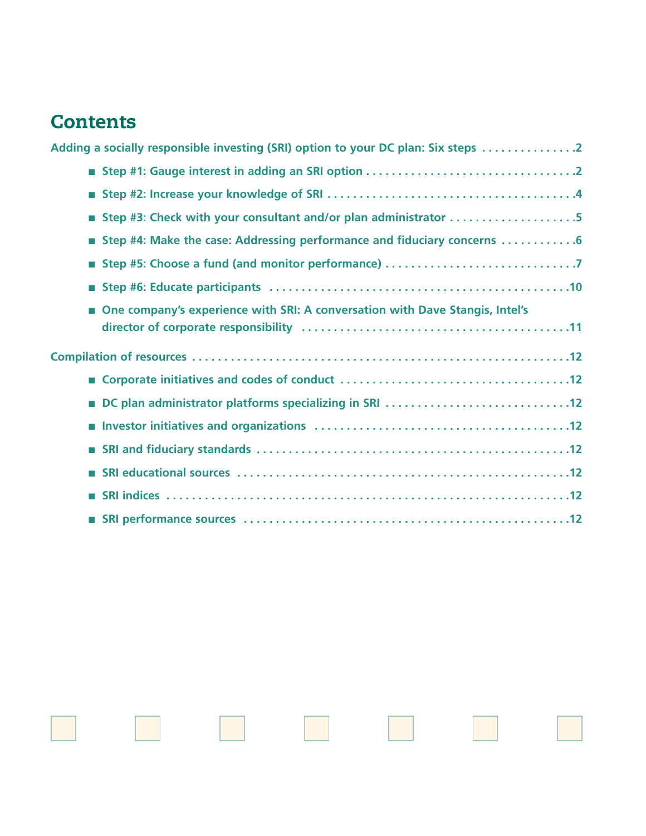# **Contents**

|            | Adding a socially responsible investing (SRI) option to your DC plan: Six steps 2 |
|------------|-----------------------------------------------------------------------------------|
|            |                                                                                   |
| <b>COL</b> |                                                                                   |
|            | Step #3: Check with your consultant and/or plan administrator 5                   |
| <b>COL</b> | Step #4: Make the case: Addressing performance and fiduciary concerns 6           |
| m.         |                                                                                   |
| m.         |                                                                                   |
| m.         | One company's experience with SRI: A conversation with Dave Stangis, Intel's      |
|            |                                                                                   |
|            |                                                                                   |
|            | DC plan administrator platforms specializing in SRI 12                            |
| ×          |                                                                                   |
|            |                                                                                   |
|            |                                                                                   |
|            |                                                                                   |
|            |                                                                                   |

an.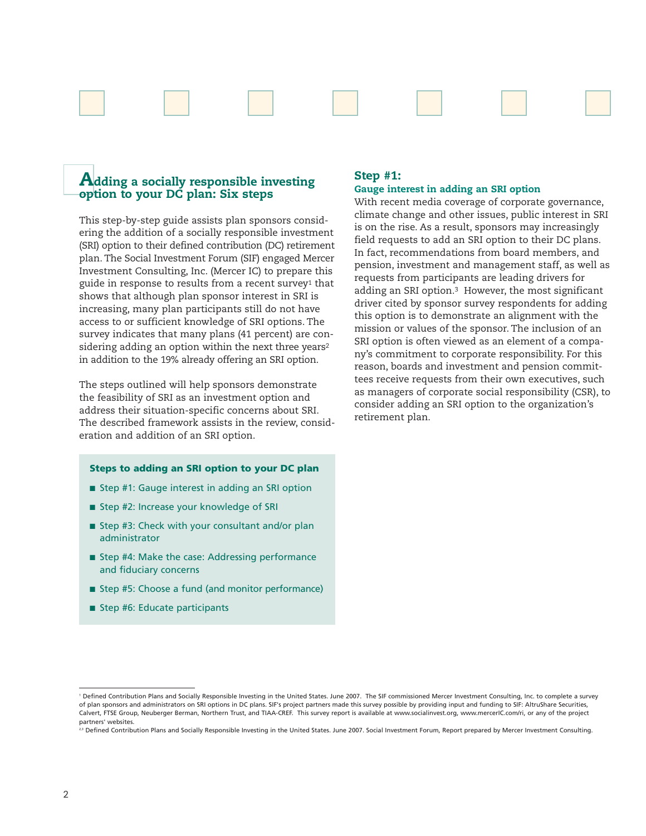

# **Adding a socially responsible investing option to your DC plan: Six steps**

This step-by-step guide assists plan sponsors considering the addition of a socially responsible investment (SRI) option to their defined contribution (DC) retirement plan. The Social Investment Forum (SIF) engaged Mercer Investment Consulting, Inc. (Mercer IC) to prepare this guide in response to results from a recent survey<sup>1</sup> that shows that although plan sponsor interest in SRI is increasing, many plan participants still do not have access to or sufficient knowledge of SRI options. The survey indicates that many plans (41 percent) are considering adding an option within the next three years<sup>2</sup> in addition to the 19% already offering an SRI option.

The steps outlined will help sponsors demonstrate the feasibility of SRI as an investment option and address their situation-specific concerns about SRI. The described framework assists in the review, consideration and addition of an SRI option.

# **Steps to adding an SRI option to your DC plan**

- Step #1: Gauge interest in adding an SRI option
- Step #2: Increase your knowledge of SRI
- Step #3: Check with your consultant and/or plan administrator
- Step #4: Make the case: Addressing performance and fiduciary concerns
- Step #5: Choose a fund (and monitor performance)
- Step #6: Educate participants

# **Step #1: Gauge interest in adding an SRI option**

With recent media coverage of corporate governance, climate change and other issues, public interest in SRI is on the rise. As a result, sponsors may increasingly field requests to add an SRI option to their DC plans. In fact, recommendations from board members, and pension, investment and management staff, as well as requests from participants are leading drivers for adding an SRI option.<sup>3</sup> However, the most significant driver cited by sponsor survey respondents for adding this option is to demonstrate an alignment with the mission or values of the sponsor. The inclusion of an SRI option is often viewed as an element of a company's commitment to corporate responsibility. For this reason, boards and investment and pension committees receive requests from their own executives, such as managers of corporate social responsibility (CSR), to consider adding an SRI option to the organization's retirement plan.

<sup>1</sup> Defined Contribution Plans and Socially Responsible Investing in the United States. June 2007. The SIF commissioned Mercer Investment Consulting, Inc. to complete a survey of plan sponsors and administrators on SRI options in DC plans. SIF's project partners made this survey possible by providing input and funding to SIF: AltruShare Securities, Calvert, FTSE Group, Neuberger Berman, Northern Trust, and TIAA-CREF. This survey report is available at www.socialinvest.org, www.mercerIC.com/ri, or any of the project partners' websites.

<sup>23</sup> Defined Contribution Plans and Socially Responsible Investing in the United States. June 2007. Social Investment Forum, Report prepared by Mercer Investment Consulting.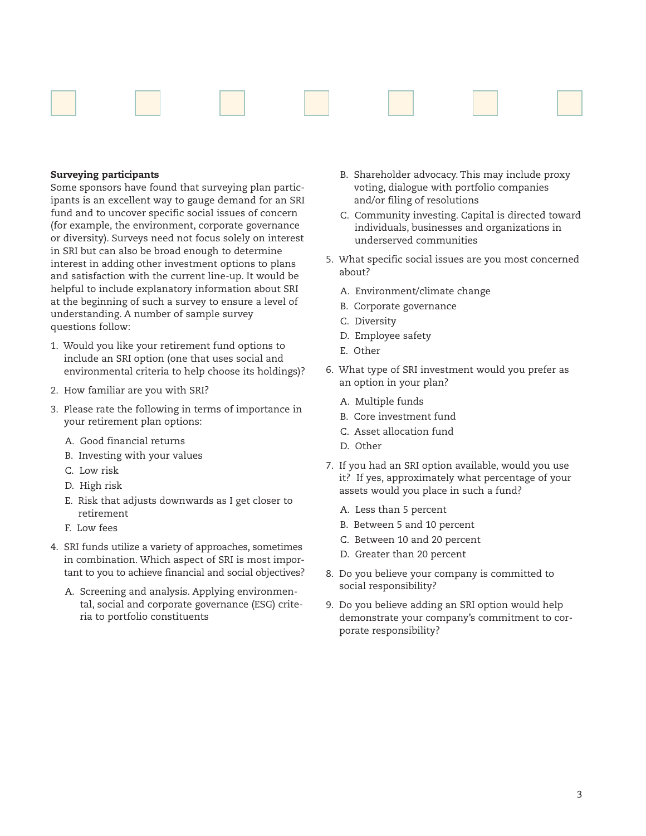

# **Surveying participants**

Some sponsors have found that surveying plan participants is an excellent way to gauge demand for an SRI fund and to uncover specific social issues of concern (for example, the environment, corporate governance or diversity). Surveys need not focus solely on interest in SRI but can also be broad enough to determine interest in adding other investment options to plans and satisfaction with the current line-up. It would be helpful to include explanatory information about SRI at the beginning of such a survey to ensure a level of understanding. A number of sample survey questions follow:

- 1. Would you like your retirement fund options to include an SRI option (one that uses social and environmental criteria to help choose its holdings)?
- 2. How familiar are you with SRI?
- 3. Please rate the following in terms of importance in your retirement plan options:
	- A. Good financial returns
	- B. Investing with your values
	- C. Low risk
	- D. High risk
	- E. Risk that adjusts downwards as I get closer to retirement
	- F. Low fees
- 4. SRI funds utilize a variety of approaches, sometimes in combination. Which aspect of SRI is most important to you to achieve financial and social objectives?
	- A. Screening and analysis. Applying environmental, social and corporate governance (ESG) criteria to portfolio constituents
- B. Shareholder advocacy. This may include proxy voting, dialogue with portfolio companies and/or filing of resolutions
- C. Community investing. Capital is directed toward individuals, businesses and organizations in underserved communities
- 5. What specific social issues are you most concerned about?
	- A. Environment/climate change
	- B. Corporate governance
	- C. Diversity
	- D. Employee safety
	- E. Other
- 6. What type of SRI investment would you prefer as an option in your plan?
	- A. Multiple funds
	- B. Core investment fund
	- C. Asset allocation fund
	- D. Other
- 7. If you had an SRI option available, would you use it? If yes, approximately what percentage of your assets would you place in such a fund?
	- A. Less than 5 percent
	- B. Between 5 and 10 percent
	- C. Between 10 and 20 percent
	- D. Greater than 20 percent
- 8. Do you believe your company is committed to social responsibility?
- 9. Do you believe adding an SRI option would help demonstrate your company's commitment to corporate responsibility?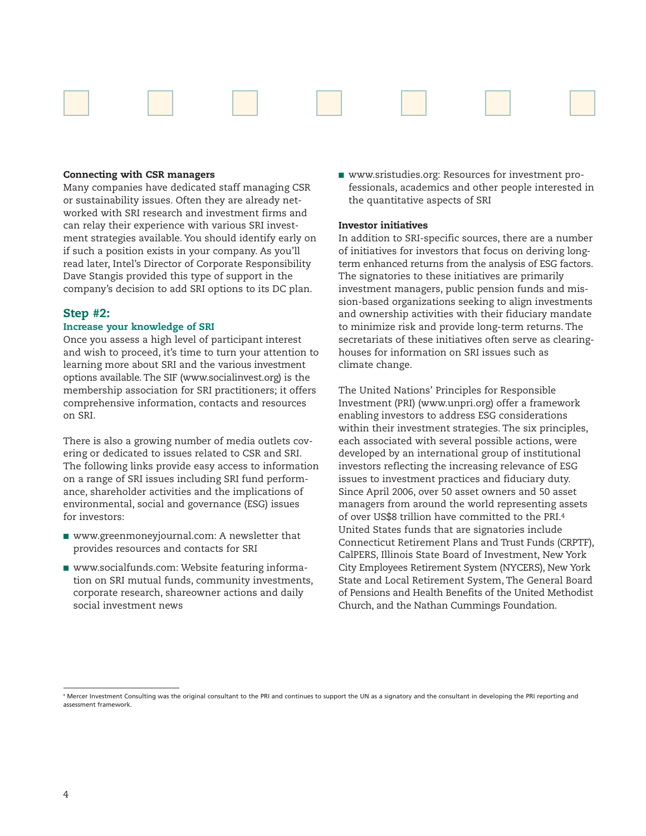

#### **Connecting with CSR managers**

Many companies have dedicated staff managing CSR or sustainability issues. Often they are already networked with SRI research and investment firms and can relay their experience with various SRI investment strategies available. You should identify early on if such a position exists in your company. As you'll read later, Intel's Director of Corporate Responsibility Dave Stangis provided this type of support in the company's decision to add SRI options to its DC plan.

#### **Step #2:**

#### **Increase your knowledge of SRI**

Once you assess a high level of participant interest and wish to proceed, it's time to turn your attention to learning more about SRI and the various investment options available. The SIF (www.socialinvest.org) is the membership association for SRI practitioners; it offers comprehensive information, contacts and resources on SRI.

There is also a growing number of media outlets covering or dedicated to issues related to CSR and SRI. The following links provide easy access to information on a range of SRI issues including SRI fund performance, shareholder activities and the implications of environmental, social and governance (ESG) issues for investors:

- www.greenmoneyjournal.com: A newsletter that provides resources and contacts for SRI
- www.socialfunds.com: Website featuring information on SRI mutual funds, community investments, corporate research, shareowner actions and daily social investment news

■ www.sristudies.org: Resources for investment professionals, academics and other people interested in the quantitative aspects of SRI

#### **Investor initiatives**

In addition to SRI-specific sources, there are a number of initiatives for investors that focus on deriving longterm enhanced returns from the analysis of ESG factors. The signatories to these initiatives are primarily investment managers, public pension funds and mission-based organizations seeking to align investments and ownership activities with their fiduciary mandate to minimize risk and provide long-term returns. The secretariats of these initiatives often serve as clearinghouses for information on SRI issues such as climate change.

The United Nations' Principles for Responsible Investment (PRI) (www.unpri.org) offer a framework enabling investors to address ESG considerations within their investment strategies. The six principles, each associated with several possible actions, were developed by an international group of institutional investors reflecting the increasing relevance of ESG issues to investment practices and fiduciary duty. Since April 2006, over 50 asset owners and 50 asset managers from around the world representing assets of over US\$8 trillion have committed to the PRI.4 United States funds that are signatories include Connecticut Retirement Plans and Trust Funds (CRPTF), CalPERS, Illinois State Board of Investment, New York City Employees Retirement System (NYCERS), New York State and Local Retirement System, The General Board of Pensions and Health Benefits of the United Methodist Church, and the Nathan Cummings Foundation.

<sup>4</sup> Mercer Investment Consulting was the original consultant to the PRI and continues to support the UN as a signatory and the consultant in developing the PRI reporting and assessment framework.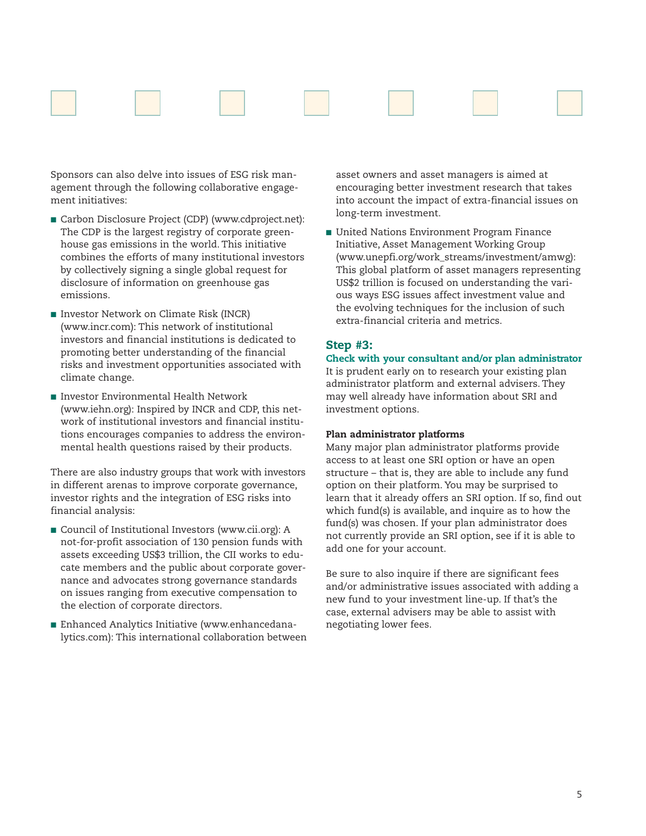

Sponsors can also delve into issues of ESG risk management through the following collaborative engagement initiatives:

- Carbon Disclosure Project (CDP) (www.cdproject.net): The CDP is the largest registry of corporate greenhouse gas emissions in the world. This initiative combines the efforts of many institutional investors by collectively signing a single global request for disclosure of information on greenhouse gas emissions.
- Investor Network on Climate Risk (INCR) (www.incr.com): This network of institutional investors and financial institutions is dedicated to promoting better understanding of the financial risks and investment opportunities associated with climate change.
- Investor Environmental Health Network (www.iehn.org): Inspired by INCR and CDP, this network of institutional investors and financial institutions encourages companies to address the environmental health questions raised by their products.

There are also industry groups that work with investors in different arenas to improve corporate governance, investor rights and the integration of ESG risks into financial analysis:

- Council of Institutional Investors (www.cii.org): A not-for-profit association of 130 pension funds with assets exceeding US\$3 trillion, the CII works to educate members and the public about corporate governance and advocates strong governance standards on issues ranging from executive compensation to the election of corporate directors.
- Enhanced Analytics Initiative (www.enhancedanalytics.com): This international collaboration between

asset owners and asset managers is aimed at encouraging better investment research that takes into account the impact of extra-financial issues on long-term investment.

■ United Nations Environment Program Finance Initiative, Asset Management Working Group (www.unepfi.org/work\_streams/investment/amwg): This global platform of asset managers representing US\$2 trillion is focused on understanding the various ways ESG issues affect investment value and the evolving techniques for the inclusion of such extra-financial criteria and metrics.

# **Step #3:**

**Check with your consultant and/or plan administrator** It is prudent early on to research your existing plan administrator platform and external advisers. They may well already have information about SRI and investment options.

# **Plan administrator platforms**

Many major plan administrator platforms provide access to at least one SRI option or have an open structure – that is, they are able to include any fund option on their platform. You may be surprised to learn that it already offers an SRI option. If so, find out which fund(s) is available, and inquire as to how the fund(s) was chosen. If your plan administrator does not currently provide an SRI option, see if it is able to add one for your account.

Be sure to also inquire if there are significant fees and/or administrative issues associated with adding a new fund to your investment line-up. If that's the case, external advisers may be able to assist with negotiating lower fees.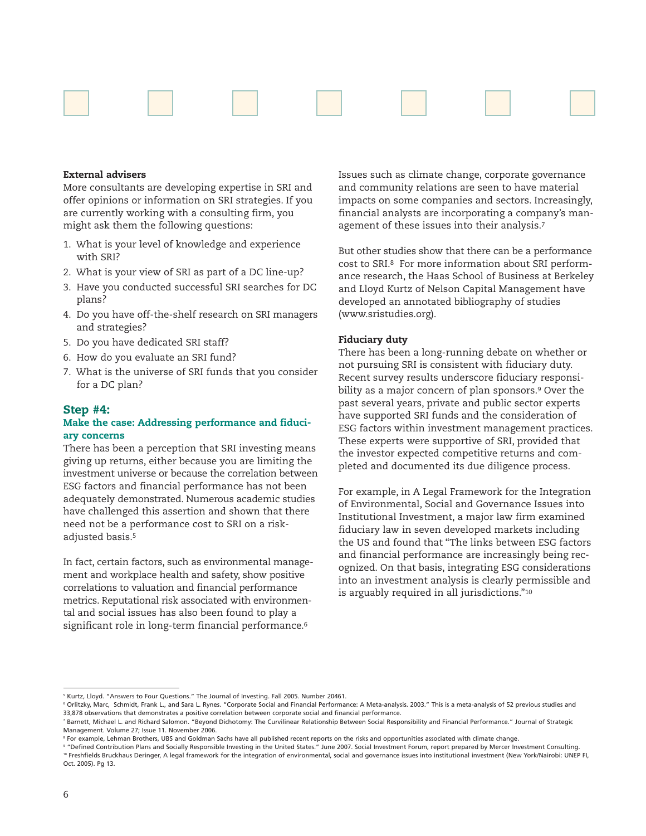

#### **External advisers**

More consultants are developing expertise in SRI and offer opinions or information on SRI strategies. If you are currently working with a consulting firm, you might ask them the following questions:

- 1. What is your level of knowledge and experience with SRI?
- 2. What is your view of SRI as part of a DC line-up?
- 3. Have you conducted successful SRI searches for DC plans?
- 4. Do you have off-the-shelf research on SRI managers and strategies?
- 5. Do you have dedicated SRI staff?
- 6. How do you evaluate an SRI fund?
- 7. What is the universe of SRI funds that you consider for a DC plan?

#### **Step #4:**

# **Make the case: Addressing performance and fiduciary concerns**

There has been a perception that SRI investing means giving up returns, either because you are limiting the investment universe or because the correlation between ESG factors and financial performance has not been adequately demonstrated. Numerous academic studies have challenged this assertion and shown that there need not be a performance cost to SRI on a riskadjusted basis.5

In fact, certain factors, such as environmental management and workplace health and safety, show positive correlations to valuation and financial performance metrics. Reputational risk associated with environmental and social issues has also been found to play a significant role in long-term financial performance.<sup>6</sup>

Issues such as climate change, corporate governance and community relations are seen to have material impacts on some companies and sectors. Increasingly, financial analysts are incorporating a company's management of these issues into their analysis.7

But other studies show that there can be a performance cost to SRI.8 For more information about SRI performance research, the Haas School of Business at Berkeley and Lloyd Kurtz of Nelson Capital Management have developed an annotated bibliography of studies (www.sristudies.org).

#### **Fiduciary duty**

There has been a long-running debate on whether or not pursuing SRI is consistent with fiduciary duty. Recent survey results underscore fiduciary responsibility as a major concern of plan sponsors.9 Over the past several years, private and public sector experts have supported SRI funds and the consideration of ESG factors within investment management practices. These experts were supportive of SRI, provided that the investor expected competitive returns and completed and documented its due diligence process.

For example, in A Legal Framework for the Integration of Environmental, Social and Governance Issues into Institutional Investment, a major law firm examined fiduciary law in seven developed markets including the US and found that "The links between ESG factors and financial performance are increasingly being recognized. On that basis, integrating ESG considerations into an investment analysis is clearly permissible and is arguably required in all jurisdictions."10

<sup>&</sup>lt;sup>5</sup> Kurtz, Lloyd. "Answers to Four Questions." The Journal of Investing. Fall 2005. Number 20461.

<sup>&</sup>lt;sup>6</sup> Orlitzky, Marc, Schmidt, Frank L., and Sara L. Rynes. "Corporate Social and Financial Performance: A Meta-analysis. 2003." This is a meta-analysis of 52 previous studies and 33,878 observations that demonstrates a positive correlation between corporate social and financial performance.

<sup>7</sup> Barnett, Michael L. and Richard Salomon. "Beyond Dichotomy: The Curvilinear Relationship Between Social Responsibility and Financial Performance." Journal of Strategic Management. Volume 27; Issue 11. November 2006.

<sup>&</sup>lt;sup>8</sup> For example, Lehman Brothers, UBS and Goldman Sachs have all published recent reports on the risks and opportunities associated with climate change.

<sup>&</sup>lt;sup>9</sup> "Defined Contribution Plans and Socially Responsible Investing in the United States." June 2007. Social Investment Forum, report prepared by Mercer Investment Consulting. 10 Freshfields Bruckhaus Deringer, A legal framework for the integration of environmental, social and governance issues into institutional investment (New York/Nairobi: UNEP FI, Oct. 2005). Pg 13.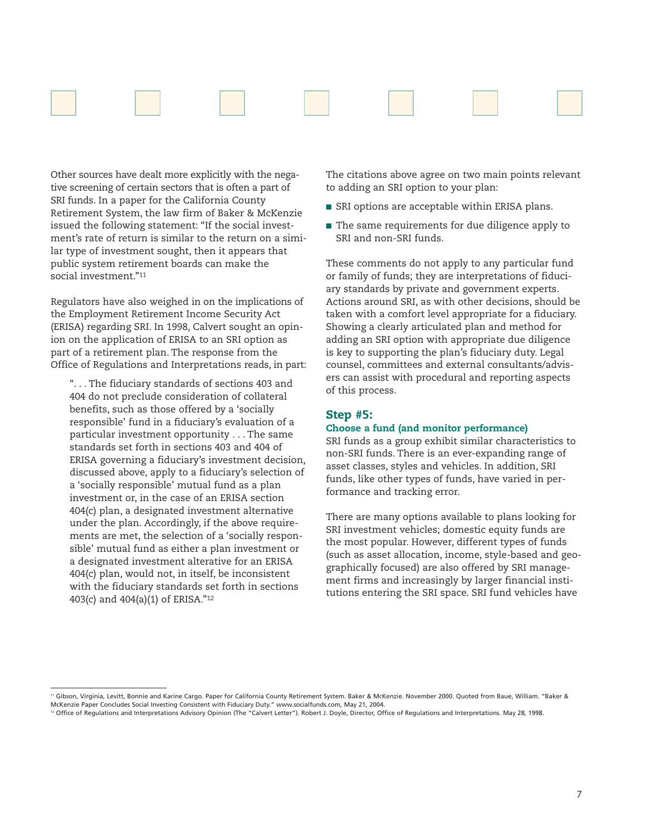

Other sources have dealt more explicitly with the negative screening of certain sectors that is often a part of SRI funds. In a paper for the California County Retirement System, the law firm of Baker & McKenzie issued the following statement: "If the social investment's rate of return is similar to the return on a similar type of investment sought, then it appears that public system retirement boards can make the social investment."11

Regulators have also weighed in on the implications of the Employment Retirement Income Security Act (ERISA) regarding SRI. In 1998, Calvert sought an opinion on the application of ERISA to an SRI option as part of a retirement plan. The response from the Office of Regulations and Interpretations reads, in part:

". . . The fiduciary standards of sections 403 and 404 do not preclude consideration of collateral benefits, such as those offered by a 'socially responsible' fund in a fiduciary's evaluation of a particular investment opportunity . . . The same standards set forth in sections 403 and 404 of ERISA governing a fiduciary's investment decision, discussed above, apply to a fiduciary's selection of a 'socially responsible' mutual fund as a plan investment or, in the case of an ERISA section 404(c) plan, a designated investment alternative under the plan. Accordingly, if the above requirements are met, the selection of a 'socially responsible' mutual fund as either a plan investment or a designated investment alterative for an ERISA 404(c) plan, would not, in itself, be inconsistent with the fiduciary standards set forth in sections 403(c) and 404(a)(1) of ERISA."12

The citations above agree on two main points relevant to adding an SRI option to your plan:

- SRI options are acceptable within ERISA plans.
- The same requirements for due diligence apply to SRI and non-SRI funds.

These comments do not apply to any particular fund or family of funds; they are interpretations of fiduciary standards by private and government experts. Actions around SRI, as with other decisions, should be taken with a comfort level appropriate for a fiduciary. Showing a clearly articulated plan and method for adding an SRI option with appropriate due diligence is key to supporting the plan's fiduciary duty. Legal counsel, committees and external consultants/advisers can assist with procedural and reporting aspects of this process.

# **Step #5:**

#### **Choose a fund (and monitor performance)**

SRI funds as a group exhibit similar characteristics to non-SRI funds. There is an ever-expanding range of asset classes, styles and vehicles. In addition, SRI funds, like other types of funds, have varied in performance and tracking error.

There are many options available to plans looking for SRI investment vehicles; domestic equity funds are the most popular. However, different types of funds (such as asset allocation, income, style-based and geographically focused) are also offered by SRI management firms and increasingly by larger financial institutions entering the SRI space. SRI fund vehicles have

<sup>11</sup> Gibson, Virginia, Levitt, Bonnie and Karine Cargo. Paper for California County Retirement System. Baker & McKenzie. November 2000. Quoted from Baue, William. "Baker & McKenzie Paper Concludes Social Investing Consistent with Fiduciary Duty." www.socialfunds.com, May 21, 2004.

<sup>&</sup>lt;sup>12</sup> Office of Regulations and Interpretations Advisory Opinion (The "Calvert Letter"). Robert J. Doyle, Director, Office of Regulations and Interpretations. May 28, 1998.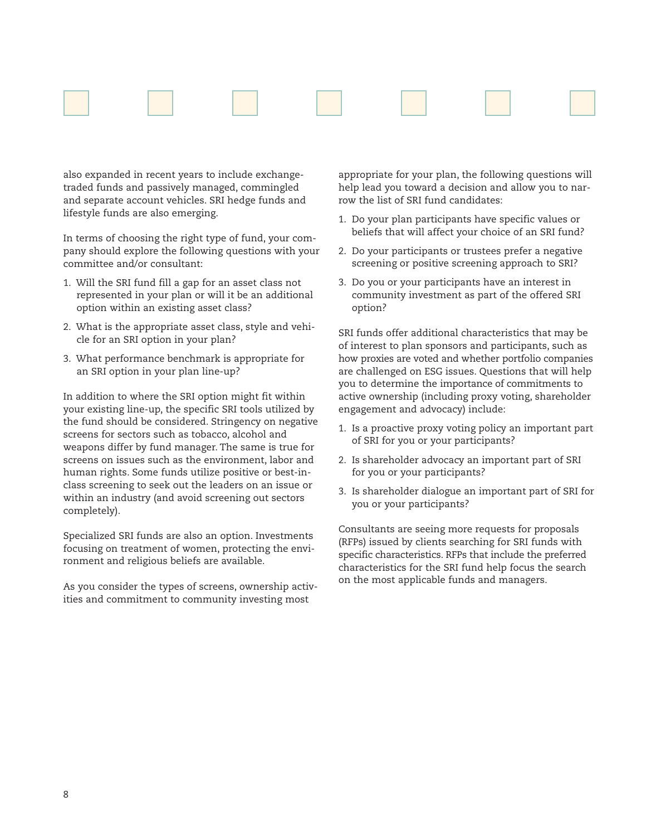

also expanded in recent years to include exchangetraded funds and passively managed, commingled and separate account vehicles. SRI hedge funds and lifestyle funds are also emerging.

In terms of choosing the right type of fund, your company should explore the following questions with your committee and/or consultant:

- 1. Will the SRI fund fill a gap for an asset class not represented in your plan or will it be an additional option within an existing asset class?
- 2. What is the appropriate asset class, style and vehicle for an SRI option in your plan?
- 3. What performance benchmark is appropriate for an SRI option in your plan line-up?

In addition to where the SRI option might fit within your existing line-up, the specific SRI tools utilized by the fund should be considered. Stringency on negative screens for sectors such as tobacco, alcohol and weapons differ by fund manager. The same is true for screens on issues such as the environment, labor and human rights. Some funds utilize positive or best-inclass screening to seek out the leaders on an issue or within an industry (and avoid screening out sectors completely).

Specialized SRI funds are also an option. Investments focusing on treatment of women, protecting the environment and religious beliefs are available.

As you consider the types of screens, ownership activities and commitment to community investing most

appropriate for your plan, the following questions will help lead you toward a decision and allow you to narrow the list of SRI fund candidates:

- 1. Do your plan participants have specific values or beliefs that will affect your choice of an SRI fund?
- 2. Do your participants or trustees prefer a negative screening or positive screening approach to SRI?
- 3. Do you or your participants have an interest in community investment as part of the offered SRI option?

SRI funds offer additional characteristics that may be of interest to plan sponsors and participants, such as how proxies are voted and whether portfolio companies are challenged on ESG issues. Questions that will help you to determine the importance of commitments to active ownership (including proxy voting, shareholder engagement and advocacy) include:

- 1. Is a proactive proxy voting policy an important part of SRI for you or your participants?
- 2. Is shareholder advocacy an important part of SRI for you or your participants?
- 3. Is shareholder dialogue an important part of SRI for you or your participants?

Consultants are seeing more requests for proposals (RFPs) issued by clients searching for SRI funds with specific characteristics. RFPs that include the preferred characteristics for the SRI fund help focus the search on the most applicable funds and managers.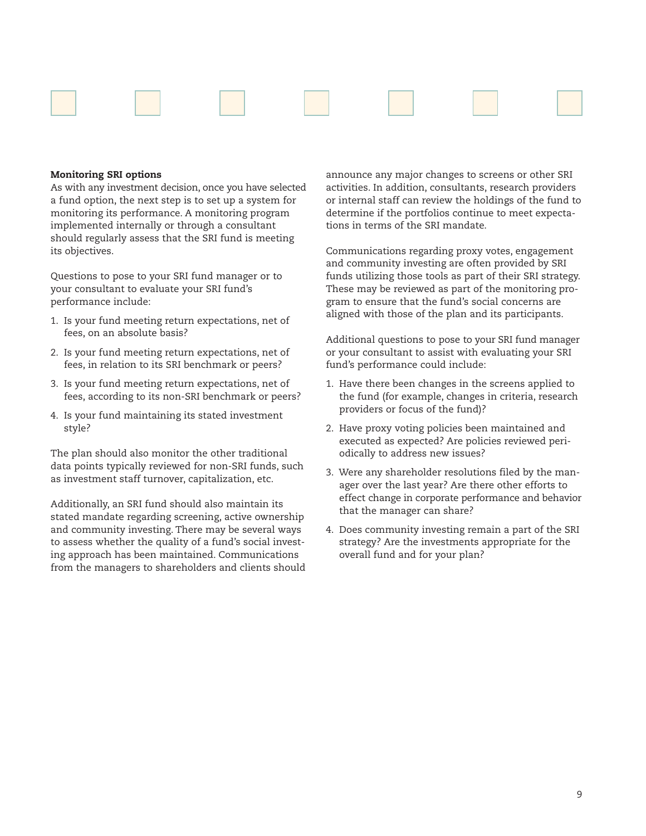

#### **Monitoring SRI options**

As with any investment decision, once you have selected a fund option, the next step is to set up a system for monitoring its performance. A monitoring program implemented internally or through a consultant should regularly assess that the SRI fund is meeting its objectives.

Questions to pose to your SRI fund manager or to your consultant to evaluate your SRI fund's performance include:

- 1. Is your fund meeting return expectations, net of fees, on an absolute basis?
- 2. Is your fund meeting return expectations, net of fees, in relation to its SRI benchmark or peers?
- 3. Is your fund meeting return expectations, net of fees, according to its non-SRI benchmark or peers?
- 4. Is your fund maintaining its stated investment style?

The plan should also monitor the other traditional data points typically reviewed for non-SRI funds, such as investment staff turnover, capitalization, etc.

Additionally, an SRI fund should also maintain its stated mandate regarding screening, active ownership and community investing. There may be several ways to assess whether the quality of a fund's social investing approach has been maintained. Communications from the managers to shareholders and clients should announce any major changes to screens or other SRI activities. In addition, consultants, research providers or internal staff can review the holdings of the fund to determine if the portfolios continue to meet expectations in terms of the SRI mandate.

Communications regarding proxy votes, engagement and community investing are often provided by SRI funds utilizing those tools as part of their SRI strategy. These may be reviewed as part of the monitoring program to ensure that the fund's social concerns are aligned with those of the plan and its participants.

Additional questions to pose to your SRI fund manager or your consultant to assist with evaluating your SRI fund's performance could include:

- 1. Have there been changes in the screens applied to the fund (for example, changes in criteria, research providers or focus of the fund)?
- 2. Have proxy voting policies been maintained and executed as expected? Are policies reviewed periodically to address new issues?
- 3. Were any shareholder resolutions filed by the manager over the last year? Are there other efforts to effect change in corporate performance and behavior that the manager can share?
- 4. Does community investing remain a part of the SRI strategy? Are the investments appropriate for the overall fund and for your plan?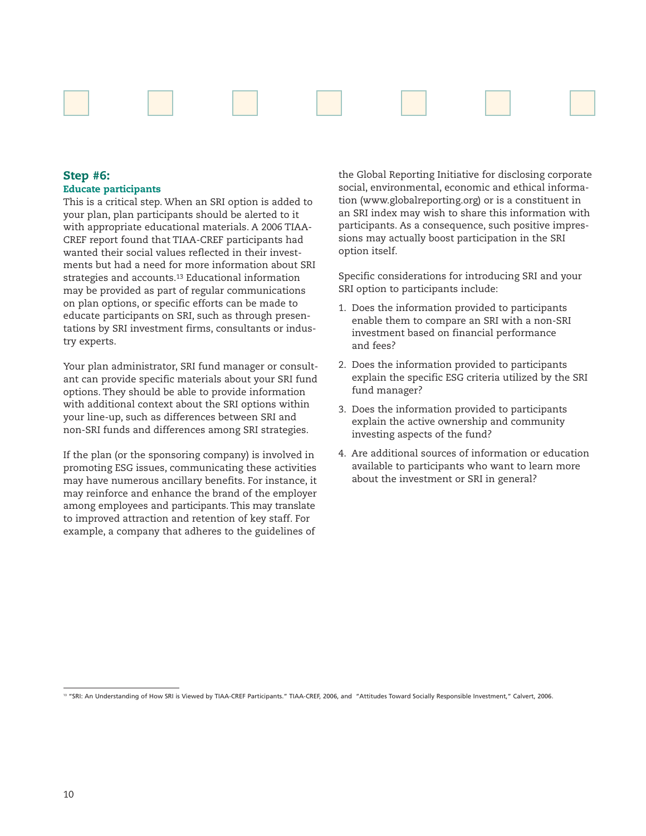

# **Step #6: Educate participants**

This is a critical step. When an SRI option is added to your plan, plan participants should be alerted to it with appropriate educational materials. A 2006 TIAA-CREF report found that TIAA-CREF participants had wanted their social values reflected in their investments but had a need for more information about SRI strategies and accounts.13 Educational information may be provided as part of regular communications on plan options, or specific efforts can be made to educate participants on SRI, such as through presentations by SRI investment firms, consultants or industry experts.

Your plan administrator, SRI fund manager or consultant can provide specific materials about your SRI fund options. They should be able to provide information with additional context about the SRI options within your line-up, such as differences between SRI and non-SRI funds and differences among SRI strategies.

If the plan (or the sponsoring company) is involved in promoting ESG issues, communicating these activities may have numerous ancillary benefits. For instance, it may reinforce and enhance the brand of the employer among employees and participants. This may translate to improved attraction and retention of key staff. For example, a company that adheres to the guidelines of

the Global Reporting Initiative for disclosing corporate social, environmental, economic and ethical information (www.globalreporting.org) or is a constituent in an SRI index may wish to share this information with participants. As a consequence, such positive impressions may actually boost participation in the SRI option itself.

Specific considerations for introducing SRI and your SRI option to participants include:

- 1. Does the information provided to participants enable them to compare an SRI with a non-SRI investment based on financial performance and fees?
- 2. Does the information provided to participants explain the specific ESG criteria utilized by the SRI fund manager?
- 3. Does the information provided to participants explain the active ownership and community investing aspects of the fund?
- 4. Are additional sources of information or education available to participants who want to learn more about the investment or SRI in general?

<sup>13 &</sup>quot;SRI: An Understanding of How SRI is Viewed by TIAA-CREF Participants." TIAA-CREF, 2006, and "Attitudes Toward Socially Responsible Investment," Calvert, 2006.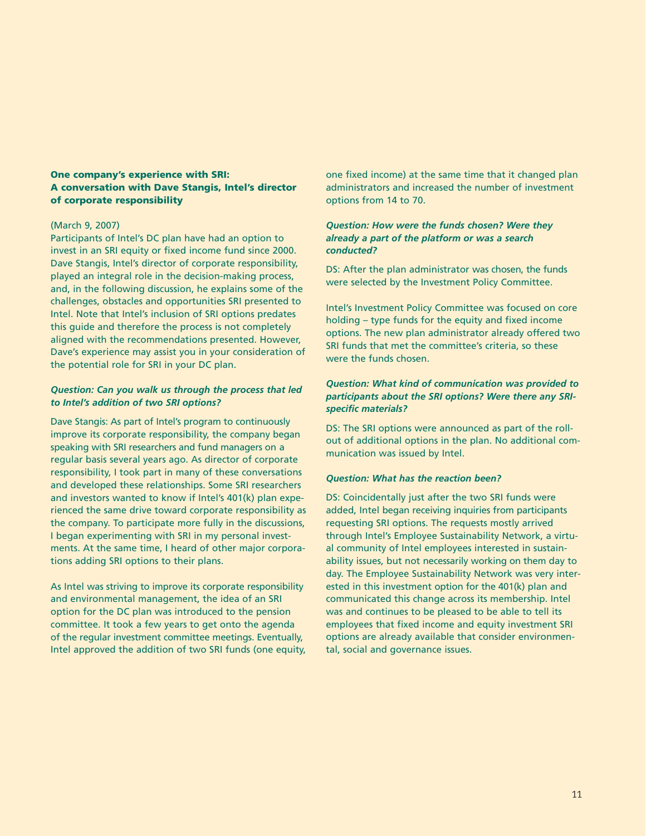# **One company's experience with SRI: A conversation with Dave Stangis, Intel's director of corporate responsibility**

#### (March 9, 2007)

Participants of Intel's DC plan have had an option to invest in an SRI equity or fixed income fund since 2000. Dave Stangis, Intel's director of corporate responsibility, played an integral role in the decision-making process, and, in the following discussion, he explains some of the challenges, obstacles and opportunities SRI presented to Intel. Note that Intel's inclusion of SRI options predates this guide and therefore the process is not completely aligned with the recommendations presented. However, Dave's experience may assist you in your consideration of the potential role for SRI in your DC plan.

# *Question: Can you walk us through the process that led to Intel's addition of two SRI options?*

Dave Stangis: As part of Intel's program to continuously improve its corporate responsibility, the company began speaking with SRI researchers and fund managers on a regular basis several years ago. As director of corporate responsibility, I took part in many of these conversations and developed these relationships. Some SRI researchers and investors wanted to know if Intel's 401(k) plan experienced the same drive toward corporate responsibility as the company. To participate more fully in the discussions, I began experimenting with SRI in my personal investments. At the same time, I heard of other major corporations adding SRI options to their plans.

As Intel was striving to improve its corporate responsibility and environmental management, the idea of an SRI option for the DC plan was introduced to the pension committee. It took a few years to get onto the agenda of the regular investment committee meetings. Eventually, Intel approved the addition of two SRI funds (one equity, one fixed income) at the same time that it changed plan administrators and increased the number of investment options from 14 to 70.

# *Question: How were the funds chosen? Were they already a part of the platform or was a search conducted?*

DS: After the plan administrator was chosen, the funds were selected by the Investment Policy Committee.

Intel's Investment Policy Committee was focused on core holding – type funds for the equity and fixed income options. The new plan administrator already offered two SRI funds that met the committee's criteria, so these were the funds chosen.

# *Question: What kind of communication was provided to participants about the SRI options? Were there any SRIspecific materials?*

DS: The SRI options were announced as part of the rollout of additional options in the plan. No additional communication was issued by Intel.

#### *Question: What has the reaction been?*

DS: Coincidentally just after the two SRI funds were added, Intel began receiving inquiries from participants requesting SRI options. The requests mostly arrived through Intel's Employee Sustainability Network, a virtual community of Intel employees interested in sustainability issues, but not necessarily working on them day to day. The Employee Sustainability Network was very interested in this investment option for the 401(k) plan and communicated this change across its membership. Intel was and continues to be pleased to be able to tell its employees that fixed income and equity investment SRI options are already available that consider environmental, social and governance issues.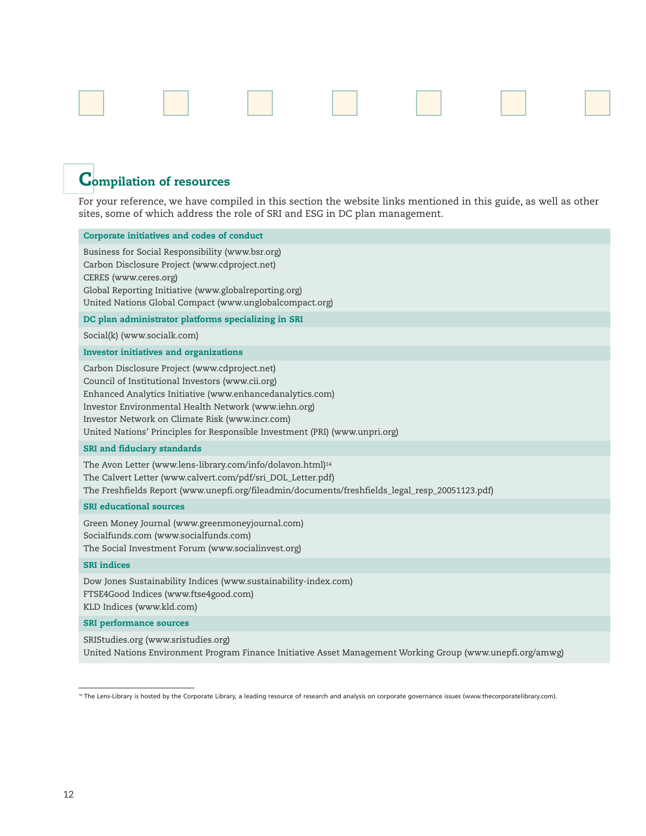

# **Compilation of resources**

For your reference, we have compiled in this section the website links mentioned in this guide, as well as other sites, some of which address the role of SRI and ESG in DC plan management.

# **Corporate initiatives and codes of conduct** Business for Social Responsibility (www.bsr.org) Carbon Disclosure Project (www.cdproject.net) CERES (www.ceres.org) Global Reporting Initiative (www.globalreporting.org) United Nations Global Compact (www.unglobalcompact.org) **DC plan administrator platforms specializing in SRI**

Social(k) (www.socialk.com)

#### **Investor initiatives and organizations**

Carbon Disclosure Project (www.cdproject.net) Council of Institutional Investors (www.cii.org) Enhanced Analytics Initiative (www.enhancedanalytics.com) Investor Environmental Health Network (www.iehn.org) Investor Network on Climate Risk (www.incr.com) United Nations' Principles for Responsible Investment (PRI) (www.unpri.org)

#### **SRI and fiduciary standards**

The Avon Letter (www.lens-library.com/info/dolavon.html)<sup>14</sup> The Calvert Letter (www.calvert.com/pdf/sri\_DOL\_Letter.pdf) The Freshfields Report (www.unepfi.org/fileadmin/documents/freshfields\_legal\_resp\_20051123.pdf)

#### **SRI educational sources**

Green Money Journal (www.greenmoneyjournal.com) Socialfunds.com (www.socialfunds.com) The Social Investment Forum (www.socialinvest.org)

#### **SRI indices**

Dow Jones Sustainability Indices (www.sustainability-index.com) FTSE4Good Indices (www.ftse4good.com) KLD Indices (www.kld.com)

#### **SRI performance sources**

SRIStudies.org (www.sristudies.org) United Nations Environment Program Finance Initiative Asset Management Working Group (www.unepfi.org/amwg)

<sup>14</sup> The Lens-Library is hosted by the Corporate Library, a leading resource of research and analysis on corporate governance issues (www.thecorporatelibrary.com).